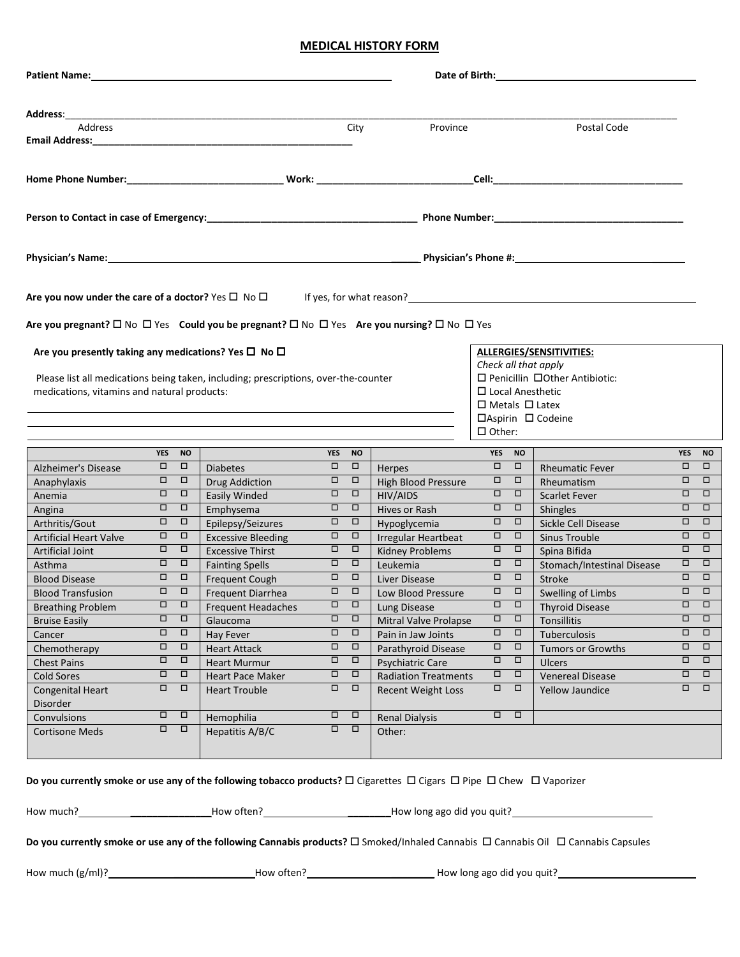## **MEDICAL HISTORY FORM**

| Address:____                                                                                                                                  |                  |                                                              |                                                                                     |             |                             |                                                          |                                                       |                  |                                                                                                                   |        |                                                      |
|-----------------------------------------------------------------------------------------------------------------------------------------------|------------------|--------------------------------------------------------------|-------------------------------------------------------------------------------------|-------------|-----------------------------|----------------------------------------------------------|-------------------------------------------------------|------------------|-------------------------------------------------------------------------------------------------------------------|--------|------------------------------------------------------|
| Address                                                                                                                                       |                  |                                                              |                                                                                     |             | City                        | Province                                                 |                                                       |                  | Postal Code                                                                                                       |        |                                                      |
|                                                                                                                                               |                  |                                                              |                                                                                     |             |                             |                                                          |                                                       |                  |                                                                                                                   |        |                                                      |
|                                                                                                                                               |                  |                                                              |                                                                                     |             |                             |                                                          |                                                       |                  |                                                                                                                   |        |                                                      |
|                                                                                                                                               |                  |                                                              |                                                                                     |             |                             |                                                          |                                                       |                  |                                                                                                                   |        |                                                      |
|                                                                                                                                               |                  |                                                              |                                                                                     |             |                             |                                                          |                                                       |                  |                                                                                                                   |        |                                                      |
|                                                                                                                                               |                  |                                                              |                                                                                     |             |                             |                                                          |                                                       |                  |                                                                                                                   |        |                                                      |
|                                                                                                                                               |                  |                                                              |                                                                                     |             |                             |                                                          |                                                       |                  | Are you now under the care of a doctor? Yes $\Box$ No $\Box$ If yes, for what reason?<br>If yes, for what reason? |        |                                                      |
| Are you pregnant? □ No □ Yes Could you be pregnant? □ No □ Yes Are you nursing? □ No □ Yes                                                    |                  |                                                              |                                                                                     |             |                             |                                                          |                                                       |                  |                                                                                                                   |        |                                                      |
| Are you presently taking any medications? Yes $\square$ No $\square$                                                                          |                  |                                                              |                                                                                     |             |                             |                                                          | ALLERGIES/SENSITIVITIES:<br>Check all that apply      |                  |                                                                                                                   |        |                                                      |
| medications, vitamins and natural products:                                                                                                   |                  |                                                              | Please list all medications being taken, including; prescriptions, over-the-counter |             |                             |                                                          | $\Box$ Local Anesthetic<br>$\Box$ Metals $\Box$ Latex |                  | □ Penicillin □ Other Antibiotic:                                                                                  |        |                                                      |
|                                                                                                                                               |                  |                                                              |                                                                                     |             |                             |                                                          | $\Box$ Other:                                         |                  | □Aspirin □ Codeine                                                                                                |        |                                                      |
|                                                                                                                                               |                  | YES NO                                                       |                                                                                     |             | YES NO                      |                                                          | YES NO                                                |                  |                                                                                                                   |        | YES NO                                               |
| Alzheimer's Disease                                                                                                                           | $\Box$           | $\Box$                                                       | <b>Diabetes</b>                                                                     |             | $\overline{\square}$ $\Box$ | Herpes                                                   | $\Box$                                                | $\Box$           | <b>Rheumatic Fever</b>                                                                                            | $\Box$ | $\Box$                                               |
| Anaphylaxis                                                                                                                                   | $\Box$           | $\Box$                                                       | <b>Drug Addiction</b>                                                               | $\Box$      | $\Box$                      | <b>High Blood Pressure</b>                               | $\Box$                                                | $\Box$           | Rheumatism                                                                                                        | $\Box$ | $\Box$                                               |
| Anemia                                                                                                                                        | $\Box$           | $\Box$                                                       | Easily Winded                                                                       | $\Box$      | $\Box$                      | HIV/AIDS                                                 | $\Box$                                                | $\Box$           | Scarlet Fever                                                                                                     | $\Box$ | $\Box$                                               |
| Angina                                                                                                                                        | $\Box$           | $\Box$                                                       | Emphysema                                                                           | $\Box$      | $\Box$                      | Hives or Rash                                            | $\Box$                                                | $\Box$           | <b>Shingles</b>                                                                                                   | $\Box$ | $\Box$                                               |
| Arthritis/Gout                                                                                                                                | $\Box$           | $\Box$                                                       | Epilepsy/Seizures                                                                   | $\Box$      | $\Box$                      | Hypoglycemia                                             | $\Box$                                                | $\Box$           | Sickle Cell Disease                                                                                               | $\Box$ | $\Box$                                               |
| <b>Artificial Heart Valve</b>                                                                                                                 |                  | $\Box \quad \Box$                                            | <b>Excessive Bleeding</b>                                                           | $\Box$      | $\Box$                      | <b>Irregular Heartbeat</b>                               | $\Box$ $\Box$                                         |                  | Sinus Trouble                                                                                                     |        | $\Box$ $\Box$                                        |
| Artificial Joint                                                                                                                              |                  | $\Box \quad \Box$                                            | <b>Excessive Thirst</b>                                                             | $\Box$      | $\Box$                      | <b>Kidney Problems</b>                                   | $\Box \quad \Box$                                     |                  | Spina Bifida                                                                                                      |        | $\Box$ $\Box$                                        |
| Asthma                                                                                                                                        | $\Box$           | $\Box$                                                       | <b>Fainting Spells</b>                                                              |             | $\Box$ $\Box$               | Leukemia                                                 | $\Box$                                                | $\Box$           | Stomach/Intestinal Disease                                                                                        |        | $\begin{array}{ccc} \square & \square & \end{array}$ |
| <b>Blood Disease</b>                                                                                                                          |                  | $\begin{array}{ccc} \square & \square & \square \end{array}$ | Frequent Cough                                                                      |             | 0 O                         | Liver Disease                                            | $\Box \quad \Box$                                     |                  | Stroke                                                                                                            |        | $\Box$ $\Box$                                        |
| <b>Blood Transfusion</b>                                                                                                                      | $\Box$           | $\Box$                                                       | Frequent Diarrhea                                                                   | $\Box$      | $\Box$                      | Low Blood Pressure                                       | $\Box$                                                | $\Box$           | Swelling of Limbs                                                                                                 | $\Box$ | $\Box$                                               |
| <b>Breathing Problem</b>                                                                                                                      | $\Box$           | $\Box$                                                       | Frequent Headaches                                                                  | $\Box$      | $\Box$                      | Lung Disease                                             | $\Box$                                                | $\Box$           | Thyroid Disease                                                                                                   | $\Box$ | $\Box$                                               |
| <b>Bruise Easily</b>                                                                                                                          | $\Box$           | $\Box$                                                       | Glaucoma                                                                            | $\Box$      | $\Box$                      | <b>Mitral Valve Prolapse</b>                             | $\Box$                                                | $\Box$           | Tonsillitis                                                                                                       | 0      | $\Box$                                               |
| Cancer                                                                                                                                        | $\Box$           | □                                                            | Hay Fever                                                                           | $\Box$      | $\Box$                      | Pain in Jaw Joints                                       | $\Box$                                                | $\Box$           | Tuberculosis                                                                                                      | □      | $\Box$                                               |
| Chemotherapy                                                                                                                                  | $\Box$           | $\Box$<br>□                                                  | <b>Heart Attack</b>                                                                 | $\Box$      | $\Box$<br>□                 | Parathyroid Disease                                      | $\Box$                                                | $\Box$<br>$\Box$ | Tumors or Growths                                                                                                 | □<br>□ | $\Box$<br>$\Box$                                     |
| <b>Chest Pains</b>                                                                                                                            | $\Box$<br>$\Box$ | □                                                            | <b>Heart Murmur</b>                                                                 | □           | $\Box$                      | Psychiatric Care                                         | $\Box$                                                | $\Box$           | <b>Ulcers</b>                                                                                                     | □      | $\Box$                                               |
| <b>Cold Sores</b><br><b>Congenital Heart</b>                                                                                                  | $\Box$           | $\Box$                                                       | <b>Heart Pace Maker</b><br><b>Heart Trouble</b>                                     | □<br>$\Box$ | $\Box$                      | <b>Radiation Treatments</b><br><b>Recent Weight Loss</b> | $\Box$<br>$\Box$                                      | □                | <b>Venereal Disease</b><br>Yellow Jaundice                                                                        | □      | $\Box$                                               |
| Disorder                                                                                                                                      | $\Box$           | $\Box$                                                       |                                                                                     | $\Box$      | $\Box$                      |                                                          | $\Box$                                                | $\Box$           |                                                                                                                   |        |                                                      |
| Convulsions<br><b>Cortisone Meds</b>                                                                                                          | $\Box$           | $\Box$                                                       | Hemophilia<br>Hepatitis A/B/C                                                       | $\Box$      | $\Box$                      | <b>Renal Dialysis</b><br>Other:                          |                                                       |                  |                                                                                                                   |        |                                                      |
| Do you currently smoke or use any of the following tobacco products? $\Box$ Cigarettes $\Box$ Cigars $\Box$ Pipe $\Box$ Chew $\Box$ Vaporizer |                  |                                                              |                                                                                     |             |                             |                                                          |                                                       |                  |                                                                                                                   |        |                                                      |

How much? \_\_\_\_\_\_\_\_\_\_\_\_\_\_\_How often? \_\_\_\_\_\_\_\_How long ago did you quit?

**Do you currently smoke or use any of the following Cannabis products?** □ Smoked/Inhaled Cannabis □ Cannabis Oil □ Cannabis Capsules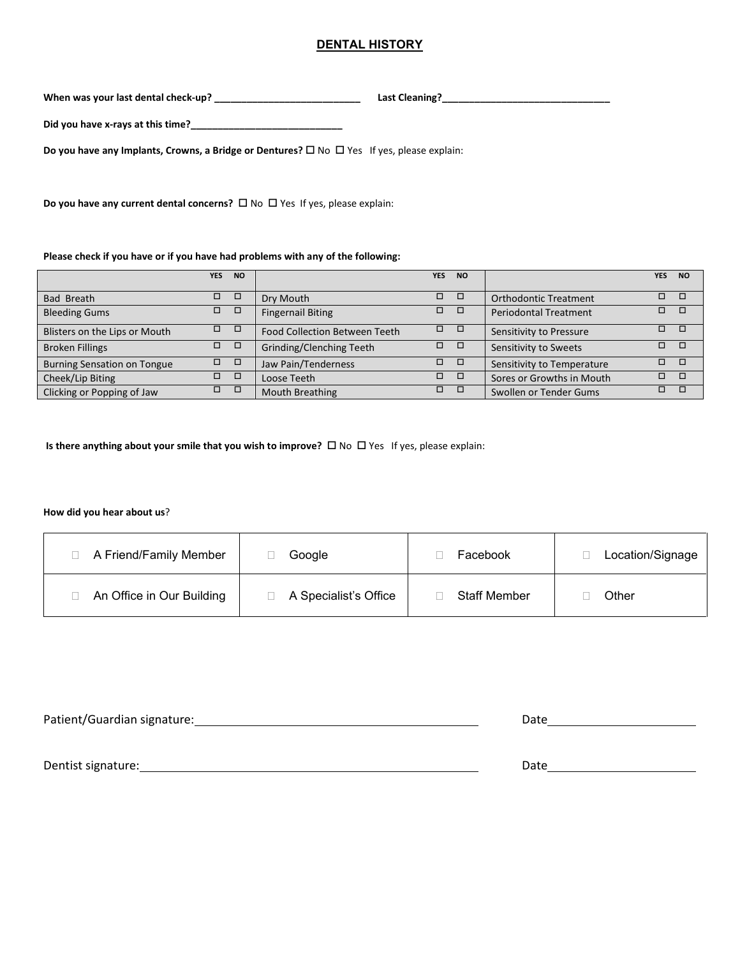## **DENTAL HISTORY**

**When was your last dental check-up? \_\_\_\_\_\_\_\_\_\_\_\_\_\_\_\_\_\_\_\_\_\_\_\_\_\_\_ Last Cleaning?\_\_\_\_\_\_\_\_\_\_\_\_\_\_\_\_\_\_\_\_\_\_\_\_\_\_\_\_\_\_\_**

**Did you have x-rays at this time?\_\_\_\_\_\_\_\_\_\_\_\_\_\_\_\_\_\_\_\_\_\_\_\_\_\_\_\_**

**Do you have any Implants, Crowns, a Bridge or Dentures?** □ No □ Yes If yes, please explain:

**Do you have any current dental concerns?**  $\Box$  No  $\Box$  Yes If yes, please explain:

**Please check if you have or if you have had problems with any of the following:**

|                                    | <b>YES</b> | <b>NO</b> |                               | <b>YES</b>    | <b>NO</b> |                              | <b>YES</b> | <b>NO</b> |
|------------------------------------|------------|-----------|-------------------------------|---------------|-----------|------------------------------|------------|-----------|
|                                    |            |           |                               |               |           |                              |            |           |
| Bad Breath                         | □          |           | Dry Mouth                     | п.            |           | Orthodontic Treatment        | □          |           |
| <b>Bleeding Gums</b>               | □          | □         | <b>Fingernail Biting</b>      | $\Box$ $\Box$ |           | <b>Periodontal Treatment</b> | □          | O         |
| Blisters on the Lips or Mouth      | □          |           | Food Collection Between Teeth | $\Box$ $\Box$ |           | Sensitivity to Pressure      |            |           |
| <b>Broken Fillings</b>             | □          |           | Grinding/Clenching Teeth      | $\Box$ $\Box$ |           | Sensitivity to Sweets        | п.         | n.        |
| <b>Burning Sensation on Tongue</b> | п.         |           | Jaw Pain/Tenderness           | п.            |           | Sensitivity to Temperature   |            |           |
| Cheek/Lip Biting                   | □          | □         | Loose Teeth                   | п.            |           | Sores or Growths in Mouth    |            |           |
| Clicking or Popping of Jaw         | □          |           | <b>Mouth Breathing</b>        | п             |           | Swollen or Tender Gums       |            |           |

**Is there anything about your smile that you wish to improve?** □ No □ Yes If yes, please explain:

**How did you hear about us**?

| A Friend/Family Member    | Google                | Facebook            | Location/Signage |
|---------------------------|-----------------------|---------------------|------------------|
| An Office in Our Building | A Specialist's Office | <b>Staff Member</b> | Other            |

| Patient/Guardian signature: | Date |  |  |  |
|-----------------------------|------|--|--|--|
|                             |      |  |  |  |
|                             |      |  |  |  |
| Dentist signature:          | Date |  |  |  |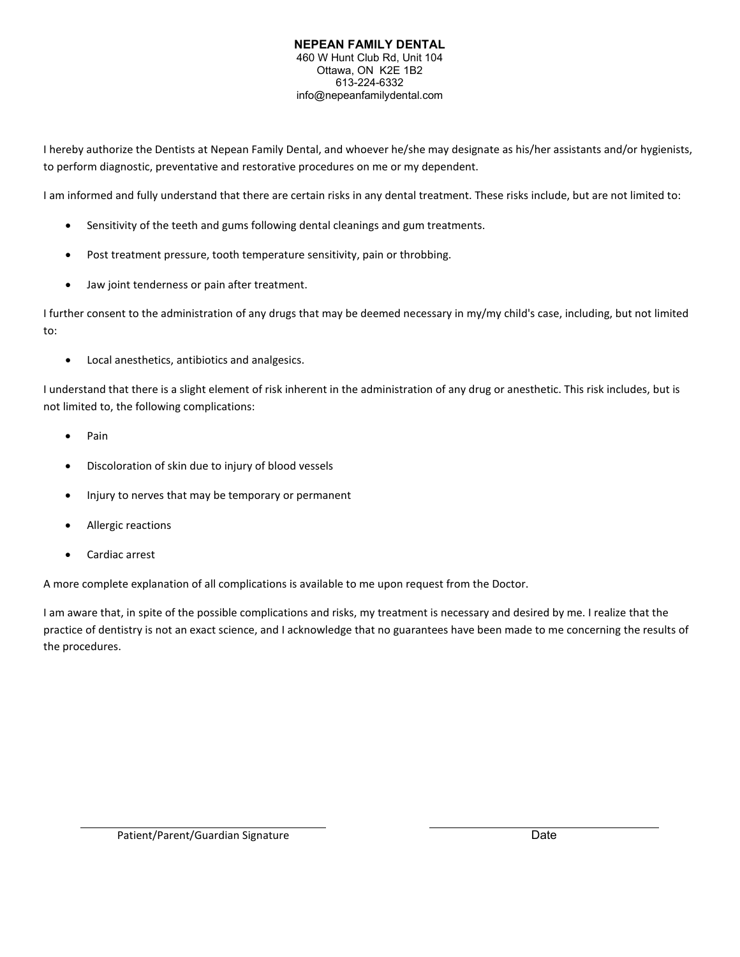## **NEPEAN FAMILY DENTAL** 460 W Hunt Club Rd, Unit 104 Ottawa, ON K2E 1B2 613-224-6332 info@nepeanfamilydental.com

I hereby authorize the Dentists at Nepean Family Dental, and whoever he/she may designate as his/her assistants and/or hygienists, to perform diagnostic, preventative and restorative procedures on me or my dependent.

I am informed and fully understand that there are certain risks in any dental treatment. These risks include, but are not limited to:

- Sensitivity of the teeth and gums following dental cleanings and gum treatments.
- Post treatment pressure, tooth temperature sensitivity, pain or throbbing.
- Jaw joint tenderness or pain after treatment.

I further consent to the administration of any drugs that may be deemed necessary in my/my child's case, including, but not limited to:

• Local anesthetics, antibiotics and analgesics.

I understand that there is a slight element of risk inherent in the administration of any drug or anesthetic. This risk includes, but is not limited to, the following complications:

- Pain
- Discoloration of skin due to injury of blood vessels
- Injury to nerves that may be temporary or permanent
- Allergic reactions
- Cardiac arrest

A more complete explanation of all complications is available to me upon request from the Doctor.

I am aware that, in spite of the possible complications and risks, my treatment is necessary and desired by me. I realize that the practice of dentistry is not an exact science, and I acknowledge that no guarantees have been made to me concerning the results of the procedures.